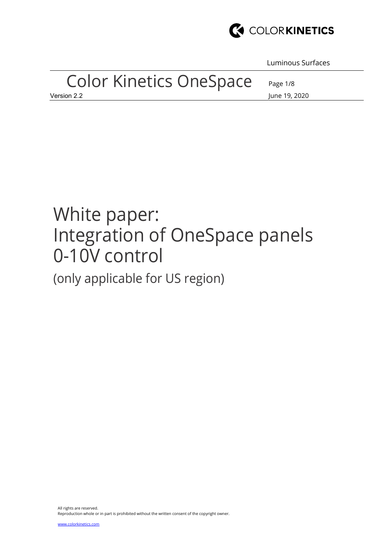

Luminous Surfaces

# Color Kinetics OneSpace

Page 1/8

Version 2.2 June 19, 2020

# White paper: Integration of OneSpace panels 0-10V control

(only applicable for US region)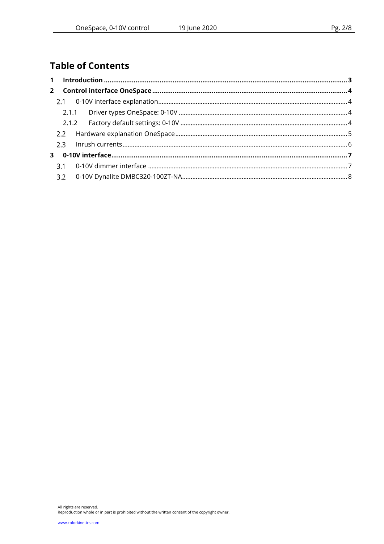# **Table of Contents**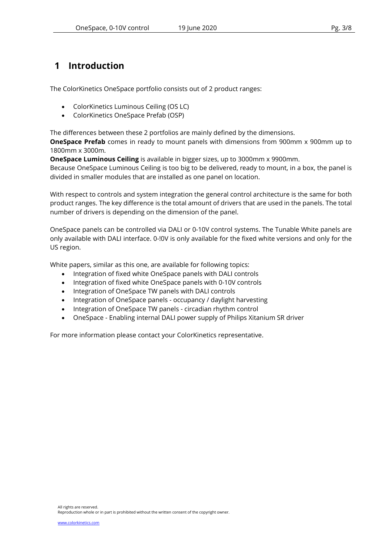## 1 Introduction

The ColorKinetics OneSpace portfolio consists out of 2 product ranges:

- ColorKinetics Luminous Ceiling (OS LC)
- ColorKinetics OneSpace Prefab (OSP)

The differences between these 2 portfolios are mainly defined by the dimensions.

**OneSpace Prefab** comes in ready to mount panels with dimensions from 900mm x 900mm up to 1800mm x 3000m.

OneSpace Luminous Ceiling is available in bigger sizes, up to 3000mm x 9900mm.

Because OneSpace Luminous Ceiling is too big to be delivered, ready to mount, in a box, the panel is divided in smaller modules that are installed as one panel on location.

With respect to controls and system integration the general control architecture is the same for both product ranges. The key difference is the total amount of drivers that are used in the panels. The total number of drivers is depending on the dimension of the panel.

OneSpace panels can be controlled via DALI or 0-10V control systems. The Tunable White panels are only available with DALI interface. 0-!0V is only available for the fixed white versions and only for the US region.

White papers, similar as this one, are available for following topics:

- Integration of fixed white OneSpace panels with DALI controls
- Integration of fixed white OneSpace panels with 0-10V controls
- Integration of OneSpace TW panels with DALI controls
- Integration of OneSpace panels occupancy / daylight harvesting
- Integration of OneSpace TW panels circadian rhythm control
- OneSpace Enabling internal DALI power supply of Philips Xitanium SR driver

For more information please contact your ColorKinetics representative.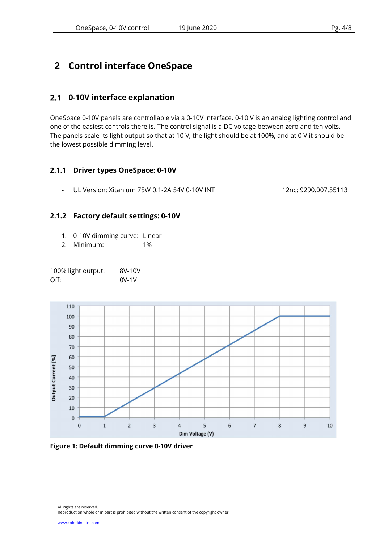# 2 Control interface OneSpace

#### 0-10V interface explanation

OneSpace 0-10V panels are controllable via a 0-10V interface. 0-10 V is an analog lighting control and one of the easiest controls there is. The control signal is a DC voltage between zero and ten volts. The panels scale its light output so that at 10 V, the light should be at 100%, and at 0 V it should be the lowest possible dimming level.

#### 2.1.1 Driver types OneSpace: 0-10V

- UL Version: Xitanium 75W 0.1-2A 54V 0-10V INT 12nc: 9290.007.55113

#### 2.1.2 Factory default settings: 0-10V

- 1. 0-10V dimming curve: Linear
- 2. Minimum: 1%

100% light output: 8V-10V Off: 0V-1V

110 100 90 80 70 60 **Dutput Current [%]** 50 40 30  $20$ 10  $\mathbf{0}$  $\overline{2}$  $\overline{3}$ 8  $\overline{0}$  $\mathbf{1}$  $\overline{4}$ 5  $6\overline{6}$  $\overline{7}$  $\overline{9}$ 10 Dim Voltage (V)

Figure 1: Default dimming curve 0-10V driver

All rights are reserved. Reproduction whole or in part is prohibited without the written consent of the copyright owner.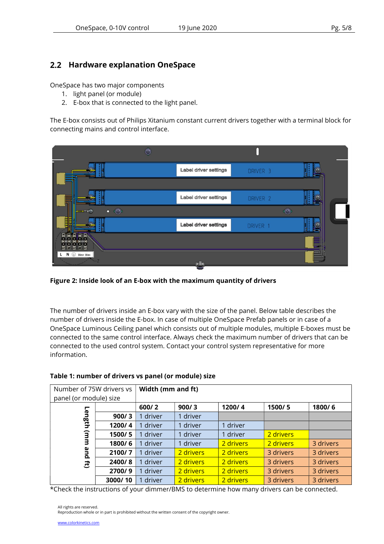#### 2.2 Hardware explanation OneSpace

OneSpace has two major components

- 1. light panel (or module)
- 2. E-box that is connected to the light panel.

The E-box consists out of Philips Xitanium constant current drivers together with a terminal block for connecting mains and control interface.



Figure 2: Inside look of an E-box with the maximum quantity of drivers

The number of drivers inside an E-box vary with the size of the panel. Below table describes the number of drivers inside the E-box. In case of multiple OneSpace Prefab panels or in case of a OneSpace Luminous Ceiling panel which consists out of multiple modules, multiple E-boxes must be connected to the same control interface. Always check the maximum number of drivers that can be connected to the used control system. Contact your control system representative for more information.

| Number of 75W drivers vs<br>panel (or module) size |         | Width (mm and ft) |           |           |           |           |  |
|----------------------------------------------------|---------|-------------------|-----------|-----------|-----------|-----------|--|
|                                                    |         | 600/2             | 900/3     | 1200/4    | 1500/5    | 1800/6    |  |
| <b>Len</b>                                         | 900/3   | 1 driver          | 1 driver  |           |           |           |  |
| ng<br>Eth                                          | 1200/4  | 1 driver          | 1 driver  | 1 driver  |           |           |  |
| $\widehat{a}$                                      | 1500/5  | 1 driver          | 1 driver  | 1 driver  | 2 drivers |           |  |
| 3                                                  | 1800/6  | 1 driver          | 1 driver  | 2 drivers | 2 drivers | 3 drivers |  |
| ω<br>ā                                             | 2100/7  | 1 driver          | 2 drivers | 2 drivers | 3 drivers | 3 drivers |  |
| E.                                                 | 2400/8  | 1 driver          | 2 drivers | 2 drivers | 3 drivers | 3 drivers |  |
|                                                    | 2700/9  | 1 driver          | 2 drivers | 2 drivers | 3 drivers | 3 drivers |  |
|                                                    | 3000/10 | 1 driver          | 2 drivers | 2 drivers | 3 drivers | 3 drivers |  |

#### Table 1: number of drivers vs panel (or module) size

\*Check the instructions of your dimmer/BMS to determine how many drivers can be connected.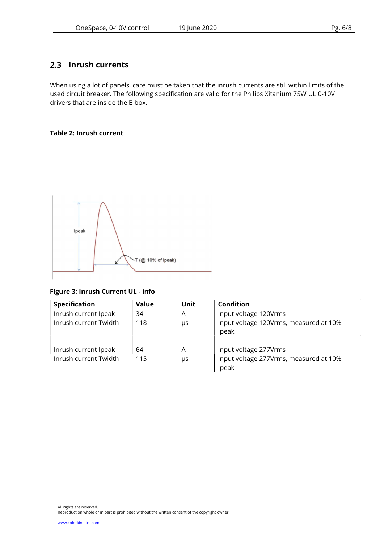#### 2.3 Inrush currents

When using a lot of panels, care must be taken that the inrush currents are still within limits of the used circuit breaker. The following specification are valid for the Philips Xitanium 75W UL 0-10V drivers that are inside the E-box.

#### Table 2: Inrush current



#### Figure 3: Inrush Current UL - info

| <b>Specification</b>  | <b>Value</b> | <b>Unit</b> | <b>Condition</b>                                |  |
|-----------------------|--------------|-------------|-------------------------------------------------|--|
| Inrush current Ipeak  | 34           | Α           | Input voltage 120Vrms                           |  |
| Inrush current Twidth | 118          | μs          | Input voltage 120Vrms, measured at 10%<br>Ipeak |  |
|                       |              |             |                                                 |  |
| Inrush current Ipeak  | 64           | Α           | Input voltage 277Vrms                           |  |
| Inrush current Twidth | 115          | μs          | Input voltage 277Vrms, measured at 10%<br>Ipeak |  |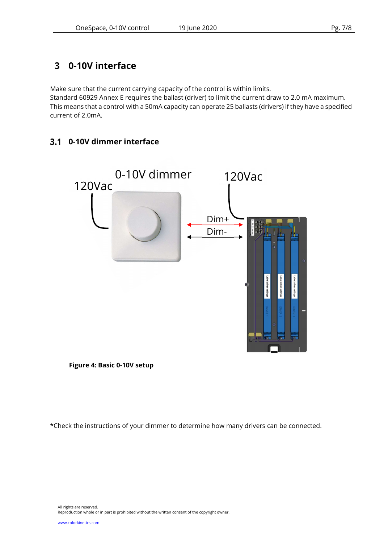# 3 0-10V interface

Make sure that the current carrying capacity of the control is within limits.

Standard 60929 Annex E requires the ballast (driver) to limit the current draw to 2.0 mA maximum. This means that a control with a 50mA capacity can operate 25 ballasts (drivers) if they have a specified current of 2.0mA.

### 0-10V dimmer interface



Figure 4: Basic 0-10V setup

\*Check the instructions of your dimmer to determine how many drivers can be connected.